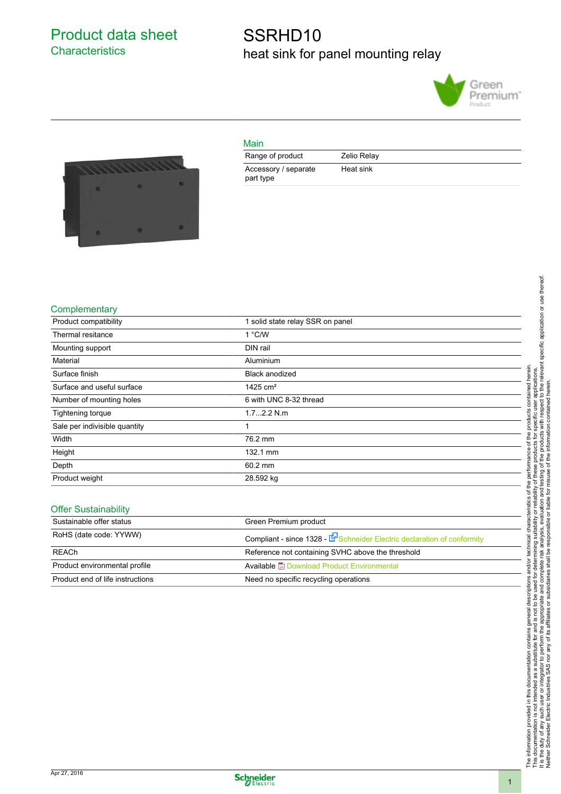Product data sheet **Characteristics** 

## SSRHD10 heat sink for panel mounting relay





| __ |
|----|
|    |
|    |

| Range of product                  | Zelio Relay |
|-----------------------------------|-------------|
| Accessory / separate<br>part type | Heat sink   |

#### **Complementary**

| Product compatibility         | 1 solid state relay SSR on panel |  |
|-------------------------------|----------------------------------|--|
| Thermal resitance             | $1°$ C/W                         |  |
| Mounting support              | DIN rail                         |  |
| Material                      | Aluminium                        |  |
| Surface finish                | <b>Black anodized</b>            |  |
| Surface and useful surface    | 1425 $cm2$                       |  |
| Number of mounting holes      | 6 with UNC 8-32 thread           |  |
| Tightening torque             | $1.72.2$ N.m.                    |  |
| Sale per indivisible quantity | 1                                |  |
| Width                         | 76.2 mm                          |  |
| Height                        | 132.1 mm                         |  |
| Depth                         | 60.2 mm                          |  |
| Product weight                | 28.592 kg                        |  |
|                               |                                  |  |

#### Offer Sustainability

| Sustainable offer status         | Green Premium product                                                 |
|----------------------------------|-----------------------------------------------------------------------|
| RoHS (date code: YYWW)           | Compliant - since 1328 - Execution Electric declaration of conformity |
| <b>REACh</b>                     | Reference not containing SVHC above the threshold                     |
| Product environmental profile    | Available <b>Download Product Environmental</b>                       |
| Product end of life instructions | Need no specific recycling operations                                 |